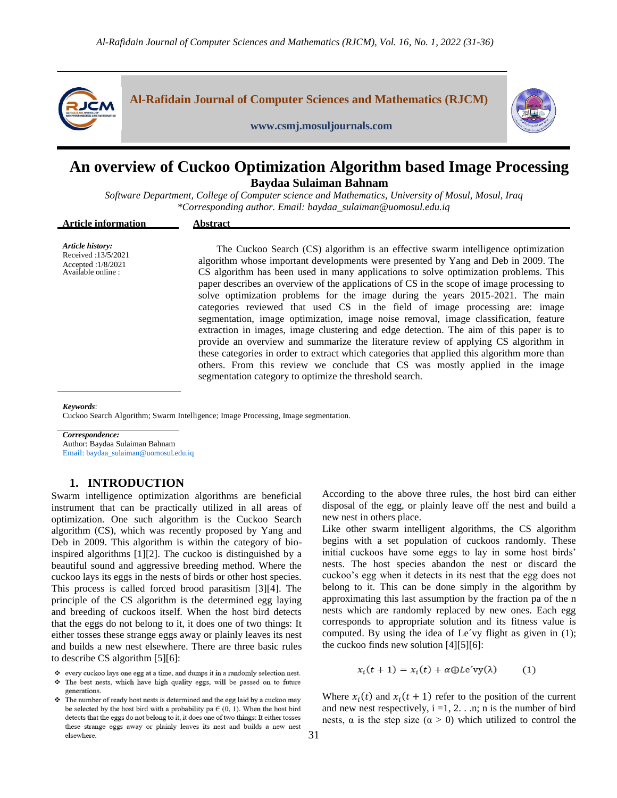

# **An overview of Cuckoo Optimization Algorithm based Image Processing Baydaa Sulaiman Bahnam**

*Software Department, College of Computer science and Mathematics, University of Mosul, Mosul, Iraq \*Corresponding author. Email: baydaa\_sulaiman@uomosul.edu.iq*

| <b>Article information</b>                                                          | Abstract                                                                                                                                                                                                                                                                                                                                                                                                                                                                                                                                                                                                                                                                                                                                                                                                                                                                                                                                                                                                                                         |
|-------------------------------------------------------------------------------------|--------------------------------------------------------------------------------------------------------------------------------------------------------------------------------------------------------------------------------------------------------------------------------------------------------------------------------------------------------------------------------------------------------------------------------------------------------------------------------------------------------------------------------------------------------------------------------------------------------------------------------------------------------------------------------------------------------------------------------------------------------------------------------------------------------------------------------------------------------------------------------------------------------------------------------------------------------------------------------------------------------------------------------------------------|
| Article history:<br>Received: 13/5/2021<br>Accepted: 1/8/2021<br>Available online : | The Cuckoo Search (CS) algorithm is an effective swarm intelligence optimization<br>algorithm whose important developments were presented by Yang and Deb in 2009. The<br>CS algorithm has been used in many applications to solve optimization problems. This<br>paper describes an overview of the applications of CS in the scope of image processing to<br>solve optimization problems for the image during the years 2015-2021. The main<br>categories reviewed that used CS in the field of image processing are: image<br>segmentation, image optimization, image noise removal, image classification, feature<br>extraction in images, image clustering and edge detection. The aim of this paper is to<br>provide an overview and summarize the literature review of applying CS algorithm in<br>these categories in order to extract which categories that applied this algorithm more than<br>others. From this review we conclude that CS was mostly applied in the image<br>segmentation category to optimize the threshold search. |

*Keywords*:

Cuckoo Search Algorithm; Swarm Intelligence; Image Processing, Image segmentation.

*Correspondence:*

Author: Baydaa Sulaiman Bahnam Email: baydaa\_sulaiman@uomosul.edu.iq

## **1. INTRODUCTION**

Swarm intelligence optimization algorithms are beneficial instrument that can be practically utilized in all areas of optimization. One such algorithm is the Cuckoo Search algorithm (CS), which was recently proposed by Yang and Deb in 2009. This algorithm is within the category of bioinspired algorithms [1][2]. The cuckoo is distinguished by a beautiful sound and aggressive breeding method. Where the cuckoo lays its eggs in the nests of birds or other host species. This process is called forced brood parasitism [3][4]. The principle of the CS algorithm is the determined egg laying and breeding of cuckoos itself. When the host bird detects that the eggs do not belong to it, it does one of two things: It either tosses these strange eggs away or plainly leaves its nest and builds a new nest elsewhere. There are three basic rules to describe CS algorithm [5][6]:

- ❖ every cuckoo lays one egg at a time, and dumps it in a randomly selection nest.
- \* The best nests, which have high quality eggs, will be passed on to future generations.
- The number of ready host nests is determined and the egg laid by a cuckoo may be selected by the host bird with a probability pa $\in$  (0, 1). When the host bird detects that the eggs do not belong to it, it does one of two things: It either tosses these strange eggs away or plainly leaves its nest and builds a new nest elsewhere.

According to the above three rules, the host bird can either disposal of the egg, or plainly leave off the nest and build a new nest in others place.

Like other swarm intelligent algorithms, the CS algorithm begins with a set population of cuckoos randomly. These initial cuckoos have some eggs to lay in some host birds' nests. The host species abandon the nest or discard the cuckoo's egg when it detects in its nest that the egg does not belong to it. This can be done simply in the algorithm by approximating this last assumption by the fraction pa of the n nests which are randomly replaced by new ones. Each egg corresponds to appropriate solution and its fitness value is computed. By using the idea of Le´vy flight as given in (1); the cuckoo finds new solution [4][5][6]:

> $x_i(t + 1) = x_i(t) + \alpha \oplus Le'vy(\lambda)$  $(1)$

Where  $x_i(t)$  and  $x_i(t + 1)$  refer to the position of the current and new nest respectively,  $i = 1, 2, \ldots$  n; n is the number of bird nests,  $\alpha$  is the step size ( $\alpha > 0$ ) which utilized to control the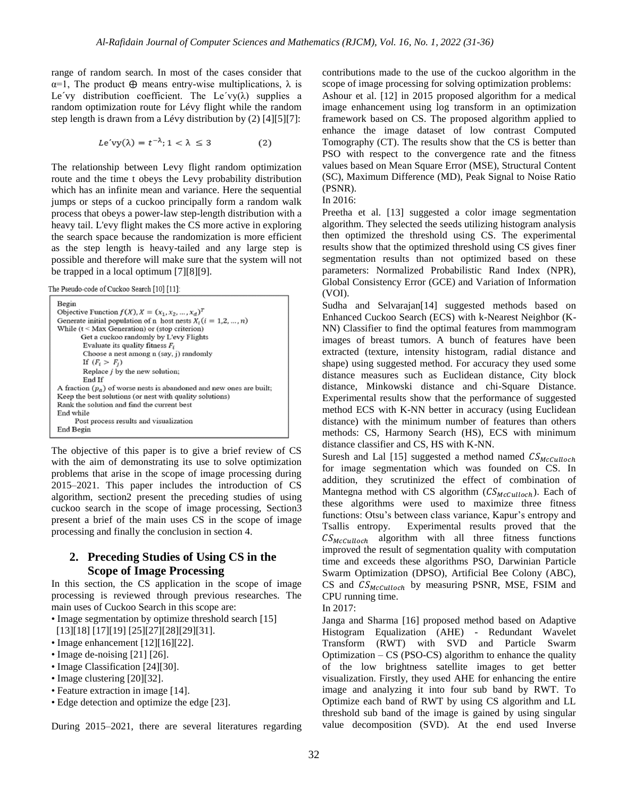range of random search. In most of the cases consider that  $\alpha=1$ , The product  $\oplus$  means entry-wise multiplications,  $\lambda$  is Le'vy distribution coefficient. The Le'vy( $\lambda$ ) supplies a random optimization route for Lévy flight while the random step length is drawn from a Lévy distribution by (2) [4][5][7]:

$$
Le'vy(\lambda) = t^{-\lambda}; 1 < \lambda \le 3
$$
 (2)

The relationship between Levy flight random optimization route and the time t obeys the Levy probability distribution which has an infinite mean and variance. Here the sequential jumps or steps of a cuckoo principally form a random walk process that obeys a power-law step-length distribution with a heavy tail. L'evy flight makes the CS more active in exploring the search space because the randomization is more efficient as the step length is heavy-tailed and any large step is possible and therefore will make sure that the system will not be trapped in a local optimum [7][8][9].

The Pseudo-code of Cuckoo Search [10] [11]:

| Begin                                                                         |
|-------------------------------------------------------------------------------|
| Objective Function $f(X)$ , $X = (x_1, x_2, , x_d)^T$                         |
| Generate initial population of n host nests $X_i$ ( $i = 1, 2, , n$ )         |
| While $(t <$ Max Generation) or (stop criterion)                              |
| Get a cuckoo randomly by L'evy Flights                                        |
| Evaluate its quality fitness $F_i$                                            |
| Choose a nest among n (say, j) randomly                                       |
| If $(F_i > F_i)$                                                              |
| Replace <i>j</i> by the new solution:                                         |
| End If                                                                        |
| A fraction $(p_{\alpha})$ of worse nests is abandoned and new ones are built; |
| Keep the best solutions (or nest with quality solutions)                      |
| Rank the solution and find the current best                                   |
| End while                                                                     |
| Post process results and visualization                                        |
| End Begin                                                                     |
|                                                                               |

The objective of this paper is to give a brief review of CS with the aim of demonstrating its use to solve optimization problems that arise in the scope of image processing during 2015–2021. This paper includes the introduction of CS algorithm, section2 present the preceding studies of using cuckoo search in the scope of image processing, Section3 present a brief of the main uses CS in the scope of image processing and finally the conclusion in section 4.

## **2. Preceding Studies of Using CS in the Scope of Image Processing**

In this section, the CS application in the scope of image processing is reviewed through previous researches. The main uses of Cuckoo Search in this scope are:

- Image segmentation by optimize threshold search [15] [13][18] [17][19] [25][27][28][29][31].
- Image enhancement [12][16][22].
- Image de-noising [21] [26].
- Image Classification [24][30].
- Image clustering [20][32].
- Feature extraction in image [14].
- Edge detection and optimize the edge [23].

During 2015–2021, there are several literatures regarding

contributions made to the use of the cuckoo algorithm in the scope of image processing for solving optimization problems: Ashour et al. [12] in 2015 proposed algorithm for a medical image enhancement using log transform in an optimization framework based on CS. The proposed algorithm applied to enhance the image dataset of low contrast Computed Tomography (CT). The results show that the CS is better than PSO with respect to the convergence rate and the fitness values based on Mean Square Error (MSE), Structural Content (SC), Maximum Difference (MD), Peak Signal to Noise Ratio (PSNR).

In 2016:

Preetha et al. [13] suggested a color image segmentation algorithm. They selected the seeds utilizing histogram analysis then optimized the threshold using CS. The experimental results show that the optimized threshold using CS gives finer segmentation results than not optimized based on these parameters: Normalized Probabilistic Rand Index (NPR), Global Consistency Error (GCE) and Variation of Information (VOI).

Sudha and Selvarajan<sup>[14]</sup> suggested methods based on Enhanced Cuckoo Search (ECS) with k-Nearest Neighbor (K-NN) Classifier to find the optimal features from mammogram images of breast tumors. A bunch of features have been extracted (texture, intensity histogram, radial distance and shape) using suggested method. For accuracy they used some distance measures such as Euclidean distance, City block distance, Minkowski distance and chi-Square Distance. Experimental results show that the performance of suggested method ECS with K-NN better in accuracy (using Euclidean distance) with the minimum number of features than others methods: CS, Harmony Search (HS), ECS with minimum distance classifier and CS, HS with K-NN.

Suresh and Lal [15] suggested a method named  $CS_{McCvilloch}$ for image segmentation which was founded on CS. In addition, they scrutinized the effect of combination of Mantegna method with CS algorithm  $(CS_{McCulloch})$ . Each of these algorithms were used to maximize three fitness functions: Otsu's between class variance, Kapur's entropy and Tsallis entropy. Experimental results proved that the  $CS_{McCulloch}$  algorithm with all three fitness functions improved the result of segmentation quality with computation time and exceeds these algorithms PSO, Darwinian Particle Swarm Optimization (DPSO), Artificial Bee Colony (ABC), CS and  $CS_{McCulloch}$  by measuring PSNR, MSE, FSIM and CPU running time.

In 2017:

Janga and Sharma [16] proposed method based on Adaptive Histogram Equalization (AHE) - Redundant Wavelet Transform (RWT) with SVD and Particle Swarm Optimization  $- CS$  (PSO-CS) algorithm to enhance the quality of the low brightness satellite images to get better visualization. Firstly, they used AHE for enhancing the entire image and analyzing it into four sub band by RWT. To Optimize each band of RWT by using CS algorithm and LL threshold sub band of the image is gained by using singular value decomposition (SVD). At the end used Inverse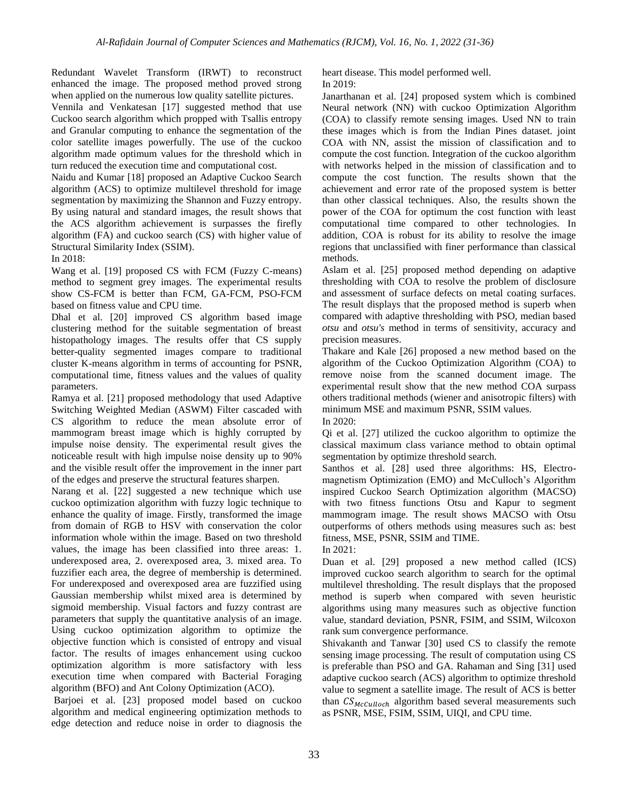Redundant Wavelet Transform (IRWT) to reconstruct enhanced the image. The proposed method proved strong when applied on the numerous low quality satellite pictures.

Vennila and Venkatesan [17] suggested method that use Cuckoo search algorithm which propped with Tsallis entropy and Granular computing to enhance the segmentation of the color satellite images powerfully. The use of the cuckoo algorithm made optimum values for the threshold which in turn reduced the execution time and computational cost.

Naidu and Kumar [18] proposed an Adaptive Cuckoo Search algorithm (ACS) to optimize multilevel threshold for image segmentation by maximizing the Shannon and Fuzzy entropy. By using natural and standard images, the result shows that the ACS algorithm achievement is surpasses the firefly algorithm (FA) and cuckoo search (CS) with higher value of Structural Similarity Index (SSIM).

In 2018:

Wang et al. [19] proposed CS with FCM (Fuzzy C-means) method to segment grey images. The experimental results show CS-FCM is better than FCM, GA-FCM, PSO-FCM based on fitness value and CPU time.

Dhal et al. [20] improved CS algorithm based image clustering method for the suitable segmentation of breast histopathology images. The results offer that CS supply better-quality segmented images compare to traditional cluster K-means algorithm in terms of accounting for PSNR, computational time, fitness values and the values of quality parameters.

Ramya et al. [21] proposed methodology that used Adaptive Switching Weighted Median (ASWM) Filter cascaded with CS algorithm to reduce the mean absolute error of mammogram breast image which is highly corrupted by impulse noise density. The experimental result gives the noticeable result with high impulse noise density up to 90% and the visible result offer the improvement in the inner part of the edges and preserve the structural features sharpen.

Narang et al. [22] suggested a new technique which use cuckoo optimization algorithm with fuzzy logic technique to enhance the quality of image. Firstly, transformed the image from domain of RGB to HSV with conservation the color information whole within the image. Based on two threshold values, the image has been classified into three areas: 1. underexposed area, 2. overexposed area, 3. mixed area. To fuzzifier each area, the degree of membership is determined. For underexposed and overexposed area are fuzzified using Gaussian membership whilst mixed area is determined by sigmoid membership. Visual factors and fuzzy contrast are parameters that supply the quantitative analysis of an image. Using cuckoo optimization algorithm to optimize the objective function which is consisted of entropy and visual factor. The results of images enhancement using cuckoo optimization algorithm is more satisfactory with less execution time when compared with Bacterial Foraging algorithm (BFO) and Ant Colony Optimization (ACO).

Barjoei et al. [23] proposed model based on cuckoo algorithm and medical engineering optimization methods to edge detection and reduce noise in order to diagnosis the heart disease. This model performed well. In 2019:

Janarthanan et al. [24] proposed system which is combined Neural network (NN) with cuckoo Optimization Algorithm (COA) to classify remote sensing images. Used NN to train these images which is from the Indian Pines dataset. joint COA with NN, assist the mission of classification and to compute the cost function. Integration of the cuckoo algorithm with networks helped in the mission of classification and to compute the cost function. The results shown that the achievement and error rate of the proposed system is better than other classical techniques. Also, the results shown the power of the COA for optimum the cost function with least computational time compared to other technologies. In addition, COA is robust for its ability to resolve the image regions that unclassified with finer performance than classical methods.

Aslam et al. [25] proposed method depending on adaptive thresholding with COA to resolve the problem of disclosure and assessment of surface defects on metal coating surfaces. The result displays that the proposed method is superb when compared with adaptive thresholding with PSO, median based *otsu* and *otsu's* method in terms of sensitivity, accuracy and precision measures.

Thakare and Kale [26] proposed a new method based on the algorithm of the Cuckoo Optimization Algorithm (COA) to remove noise from the scanned document image. The experimental result show that the new method COA surpass others traditional methods (wiener and anisotropic filters) with minimum MSE and maximum PSNR, SSIM values. In 2020:

Qi et al. [27] utilized the cuckoo algorithm to optimize the classical maximum class variance method to obtain optimal segmentation by optimize threshold search.

Santhos et al. [28] used three algorithms: HS, Electromagnetism Optimization (EMO) and McCulloch's Algorithm inspired Cuckoo Search Optimization algorithm (MACSO) with two fitness functions Otsu and Kapur to segment mammogram image. The result shows MACSO with Otsu outperforms of others methods using measures such as: best fitness, MSE, PSNR, SSIM and TIME.

In 2021:

Duan et al. [29] proposed a new method called (ICS) improved cuckoo search algorithm to search for the optimal multilevel thresholding. The result displays that the proposed method is superb when compared with seven heuristic algorithms using many measures such as objective function value, standard deviation, PSNR, FSIM, and SSIM, Wilcoxon rank sum convergence performance.

Shivakanth and Tanwar [30] used CS to classify the remote sensing image processing. The result of computation using CS is preferable than PSO and GA. Rahaman and Sing [31] used adaptive cuckoo search (ACS) algorithm to optimize threshold value to segment a satellite image. The result of ACS is better than  $CS_{McCulloch}$  algorithm based several measurements such as PSNR, MSE, FSIM, SSIM, UIQI, and CPU time.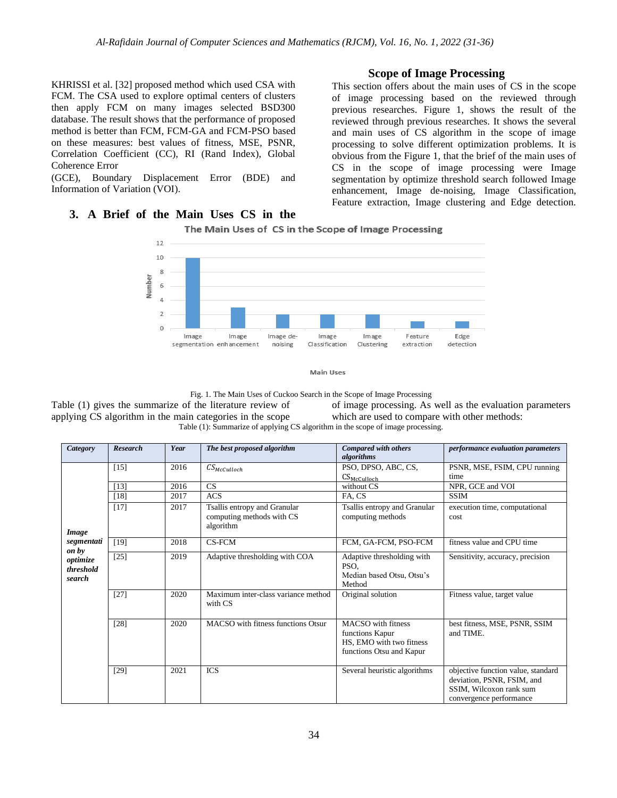KHRISSI et al. [32] proposed method which used CSA with FCM. The CSA used to explore optimal centers of clusters then apply FCM on many images selected BSD300 database. The result shows that the performance of proposed method is better than FCM, FCM-GA and FCM-PSO based on these measures: best values of fitness, MSE, PSNR, Correlation Coefficient (CC), RI (Rand Index), Global Coherence Error

(GCE), Boundary Displacement Error (BDE) and Information of Variation (VOI).

## **3. A Brief of the Main Uses CS in the**

## **Scope of Image Processing**

This section offers about the main uses of CS in the scope of image processing based on the reviewed through previous researches. Figure 1, shows the result of the reviewed through previous researches. It shows the several and main uses of CS algorithm in the scope of image processing to solve different optimization problems. It is obvious from the Figure 1, that the brief of the main uses of CS in the scope of image processing were Image segmentation by optimize threshold search followed Image enhancement, Image de-noising, Image Classification, Feature extraction, Image clustering and Edge detection.



# The Main Uses of CS in the Scope of Image Processing



Fig. 1. The Main Uses of Cuckoo Search in the Scope of Image Processing

Table (1) gives the summarize of the literature review of applying CS algorithm in the main categories in the scope of image processing. As well as the evaluation parameters which are used to compare with other methods: Table (1): Summarize of applying CS algorithm in the scope of image processing.

| Category                        | <b>Research</b> | Year | The best proposed algorithm                                            | Compared with others<br>algorithms                                                            | performance evaluation parameters                                                                                      |
|---------------------------------|-----------------|------|------------------------------------------------------------------------|-----------------------------------------------------------------------------------------------|------------------------------------------------------------------------------------------------------------------------|
|                                 | $[15]$          | 2016 | $CS_{McCulloch}$                                                       | PSO, DPSO, ABC, CS,<br>$CS_{McCulloch}$                                                       | PSNR, MSE, FSIM, CPU running<br>time                                                                                   |
|                                 | $[13]$          | 2016 | CS                                                                     | without CS                                                                                    | NPR, GCE and VOI                                                                                                       |
|                                 | $[18]$          | 2017 | <b>ACS</b>                                                             | FA, CS                                                                                        | <b>SSIM</b>                                                                                                            |
| Image                           | $[17]$          | 2017 | Tsallis entropy and Granular<br>computing methods with CS<br>algorithm | Tsallis entropy and Granular<br>computing methods                                             | execution time, computational<br>cost                                                                                  |
| segmentati<br>on by             | $[19]$          | 2018 | CS-FCM                                                                 | FCM, GA-FCM, PSO-FCM                                                                          | fitness value and CPU time                                                                                             |
| optimize<br>threshold<br>search | $[25]$          | 2019 | Adaptive thresholding with COA                                         | Adaptive thresholding with<br>PSO,<br>Median based Otsu, Otsu's<br>Method                     | Sensitivity, accuracy, precision                                                                                       |
|                                 | $[27]$          | 2020 | Maximum inter-class variance method<br>with CS                         | Original solution                                                                             | Fitness value, target value                                                                                            |
|                                 | $[28]$          | 2020 | MACSO with fitness functions Otsur                                     | MACSO with fitness<br>functions Kapur<br>HS, EMO with two fitness<br>functions Otsu and Kapur | best fitness, MSE, PSNR, SSIM<br>and TIME.                                                                             |
|                                 | $[29]$          | 2021 | <b>ICS</b>                                                             | Several heuristic algorithms                                                                  | objective function value, standard<br>deviation, PSNR, FSIM, and<br>SSIM, Wilcoxon rank sum<br>convergence performance |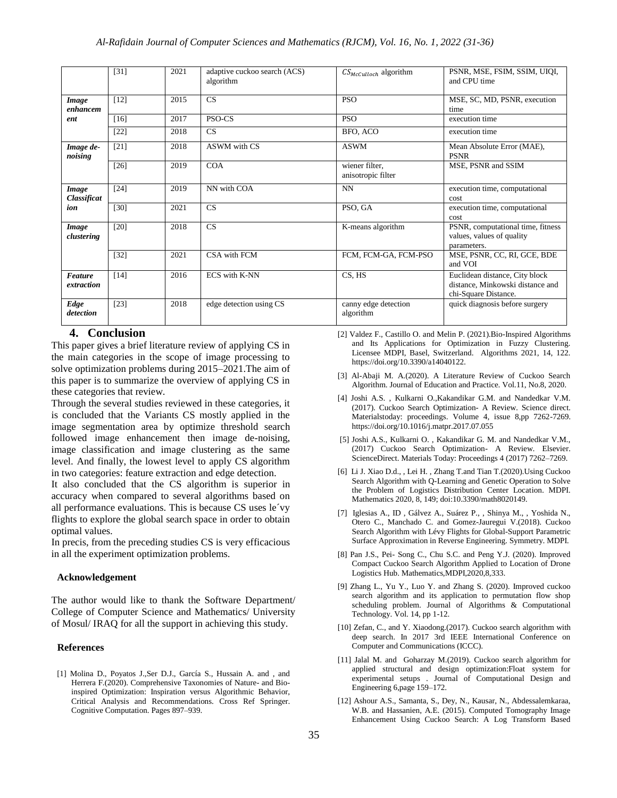|                              | $[31]$ | 2021 | adaptive cuckoo search (ACS)<br>algorithm | $CS_{McCulloch}$ algorithm           | PSNR, MSE, FSIM, SSIM, UIOI,<br>and CPU time                                               |
|------------------------------|--------|------|-------------------------------------------|--------------------------------------|--------------------------------------------------------------------------------------------|
| Image<br>enhancem            | $[12]$ | 2015 | CS                                        | <b>PSO</b>                           | MSE, SC, MD, PSNR, execution<br>time                                                       |
| ent                          | [16]   | 2017 | PSO-CS                                    | <b>PSO</b>                           | execution time                                                                             |
|                              | $[22]$ | 2018 | CS                                        | BFO, ACO                             | execution time                                                                             |
| Image de-<br>noising         | $[21]$ | 2018 | ASWM with CS                              | <b>ASWM</b>                          | Mean Absolute Error (MAE),<br><b>PSNR</b>                                                  |
|                              | $[26]$ | 2019 | <b>COA</b>                                | wiener filter,<br>anisotropic filter | MSE, PSNR and SSIM                                                                         |
| Image<br>Classificat         | $[24]$ | 2019 | NN with COA                               | NN                                   | execution time, computational<br>cost                                                      |
| ion                          | $[30]$ | 2021 | CS                                        | PSO, GA                              | execution time, computational<br>cost                                                      |
| Image<br>clustering          | $[20]$ | 2018 | CS                                        | K-means algorithm                    | PSNR, computational time, fitness<br>values, values of quality<br>parameters.              |
|                              | $[32]$ | 2021 | CSA with FCM                              | FCM, FCM-GA, FCM-PSO                 | MSE, PSNR, CC, RI, GCE, BDE<br>and VOI                                                     |
| <b>Feature</b><br>extraction | $[14]$ | 2016 | <b>ECS</b> with K-NN                      | CS, HS                               | Euclidean distance, City block<br>distance, Minkowski distance and<br>chi-Square Distance. |
| Edge<br>detection            | $[23]$ | 2018 | edge detection using CS                   | canny edge detection<br>algorithm    | quick diagnosis before surgery                                                             |

# **4. Conclusion**

This paper gives a brief literature review of applying CS in the main categories in the scope of image processing to solve optimization problems during 2015–2021.The aim of this paper is to summarize the overview of applying CS in these categories that review.

Through the several studies reviewed in these categories, it is concluded that the Variants CS mostly applied in the image segmentation area by optimize threshold search followed image enhancement then image de-noising, image classification and image clustering as the same level. And finally, the lowest level to apply CS algorithm in two categories: feature extraction and edge detection.

It also concluded that the CS algorithm is superior in accuracy when compared to several algorithms based on all performance evaluations. This is because CS uses le´vy flights to explore the global search space in order to obtain optimal values.

In precis, from the preceding studies CS is very efficacious in all the experiment optimization problems.

#### **Acknowledgement**

The author would like to thank the Software Department/ College of Computer Science and Mathematics/ University of Mosul/ IRAQ for all the support in achieving this study.

### **References**

[1] Molina D., Poyatos J.,Ser D.J., García S., Hussain A. and , and Herrera F.(2020). Comprehensive Taxonomies of Nature- and Bioinspired Optimization: Inspiration versus Algorithmic Behavior, Critical Analysis and Recommendations. Cross Ref Springer. Cognitive Computation. Pages 897–939.

- [2] Valdez F., Castillo O. and Melin P. (2021).Bio-Inspired Algorithms and Its Applications for Optimization in Fuzzy Clustering. Licensee MDPI, Basel, Switzerland. Algorithms 2021, 14, 122. https://doi.org/10.3390/a14040122.
- [3] Al-Abaji M. A.(2020). A Literature Review of Cuckoo Search Algorithm. Journal of Education and Practice. Vol.11, No.8, 2020.
- [4] Joshi A.S. , Kulkarni O.,Kakandikar G.M. and Nandedkar V.M. (2017). Cuckoo Search Optimization- A Review. Science direct. Materialstoday: proceedings. Volume 4, issue 8,pp 7262-7269. https://doi.org/10.1016/j.matpr.2017.07.055
- [5] Joshi A.S., Kulkarni O. , Kakandikar G. M. and Nandedkar V.M., (2017) Cuckoo Search Optimization- A Review. Elsevier. ScienceDirect. Materials Today: Proceedings 4 (2017) 7262–7269.
- [6] Li J. Xiao D.d., , Lei H. , Zhang T.and Tian T.(2020).Using Cuckoo Search Algorithm with Q-Learning and Genetic Operation to Solve the Problem of Logistics Distribution Center Location. MDPI. Mathematics 2020, 8, 149; doi:10.3390/math8020149.
- [7] Iglesias A., ID , Gálvez A., Suárez P., , Shinya M., , Yoshida N., Otero C., Manchado C. and Gomez-Jauregui V.(2018). Cuckoo Search Algorithm with Lévy Flights for Global-Support Parametric Surface Approximation in Reverse Engineering. Symmetry. MDPI.
- [8] Pan J.S., Pei- Song C., Chu S.C. and Peng Y.J. (2020). Improved Compact Cuckoo Search Algorithm Applied to Location of Drone Logistics Hub. Mathematics,MDPI,2020,8,333.
- [9] Zhang L., Yu Y., Luo Y. and Zhang S. (2020). Improved cuckoo search algorithm and its application to permutation flow shop scheduling problem. Journal of Algorithms & Computational Technology. Vol. 14, pp 1-12.
- [10] Zefan, C., and Y. Xiaodong.(2017). Cuckoo search algorithm with deep search. In 2017 3rd IEEE International Conference on Computer and Communications (ICCC).
- [11] Jalal M. and Goharzay M.(2019). Cuckoo search algorithm for applied structural and design optimization:Float system for experimental setups . Journal of Computational Design and Engineering 6,page 159–172.
- [12] Ashour A.S., Samanta, S., Dey, N., Kausar, N., Abdessalemkaraa, W.B. and Hassanien, A.E. (2015). Computed Tomography Image Enhancement Using Cuckoo Search: A Log Transform Based